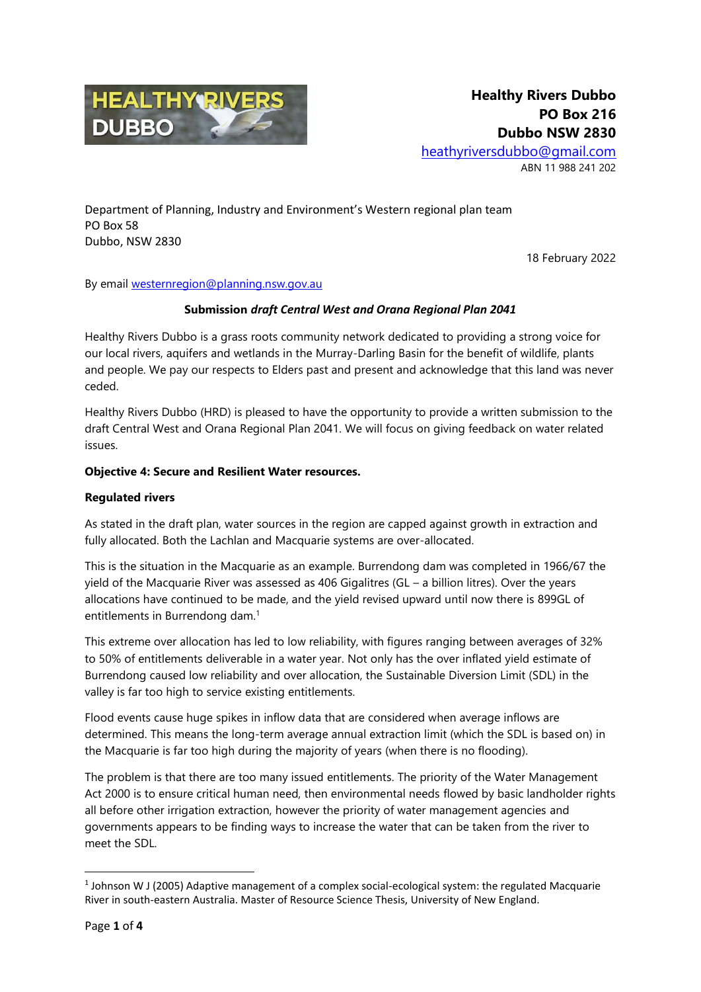

Department of Planning, Industry and Environment's Western regional plan team PO Box 58 Dubbo, NSW 2830

18 February 2022

By email [westernregion@planning.nsw.gov.au](mailto:westernregion@planning.nsw.gov.au)

#### **Submission** *draft Central West and Orana Regional Plan 2041*

Healthy Rivers Dubbo is a grass roots community network dedicated to providing a strong voice for our local rivers, aquifers and wetlands in the Murray-Darling Basin for the benefit of wildlife, plants and people. We pay our respects to Elders past and present and acknowledge that this land was never ceded.

Healthy Rivers Dubbo (HRD) is pleased to have the opportunity to provide a written submission to the draft Central West and Orana Regional Plan 2041. We will focus on giving feedback on water related issues.

#### **Objective 4: Secure and Resilient Water resources.**

#### **Regulated rivers**

As stated in the draft plan, water sources in the region are capped against growth in extraction and fully allocated. Both the Lachlan and Macquarie systems are over-allocated.

This is the situation in the Macquarie as an example. Burrendong dam was completed in 1966/67 the yield of the Macquarie River was assessed as 406 Gigalitres (GL – a billion litres). Over the years allocations have continued to be made, and the yield revised upward until now there is 899GL of entitlements in Burrendong dam.<sup>1</sup>

This extreme over allocation has led to low reliability, with figures ranging between averages of 32% to 50% of entitlements deliverable in a water year. Not only has the over inflated yield estimate of Burrendong caused low reliability and over allocation, the Sustainable Diversion Limit (SDL) in the valley is far too high to service existing entitlements.

Flood events cause huge spikes in inflow data that are considered when average inflows are determined. This means the long-term average annual extraction limit (which the SDL is based on) in the Macquarie is far too high during the majority of years (when there is no flooding).

The problem is that there are too many issued entitlements. The priority of the Water Management Act 2000 is to ensure critical human need, then environmental needs flowed by basic landholder rights all before other irrigation extraction, however the priority of water management agencies and governments appears to be finding ways to increase the water that can be taken from the river to meet the SDL.

**.** 

 $<sup>1</sup>$  Johnson W J (2005) Adaptive management of a complex social-ecological system: the regulated Macquarie</sup> River in south-eastern Australia. Master of Resource Science Thesis, University of New England.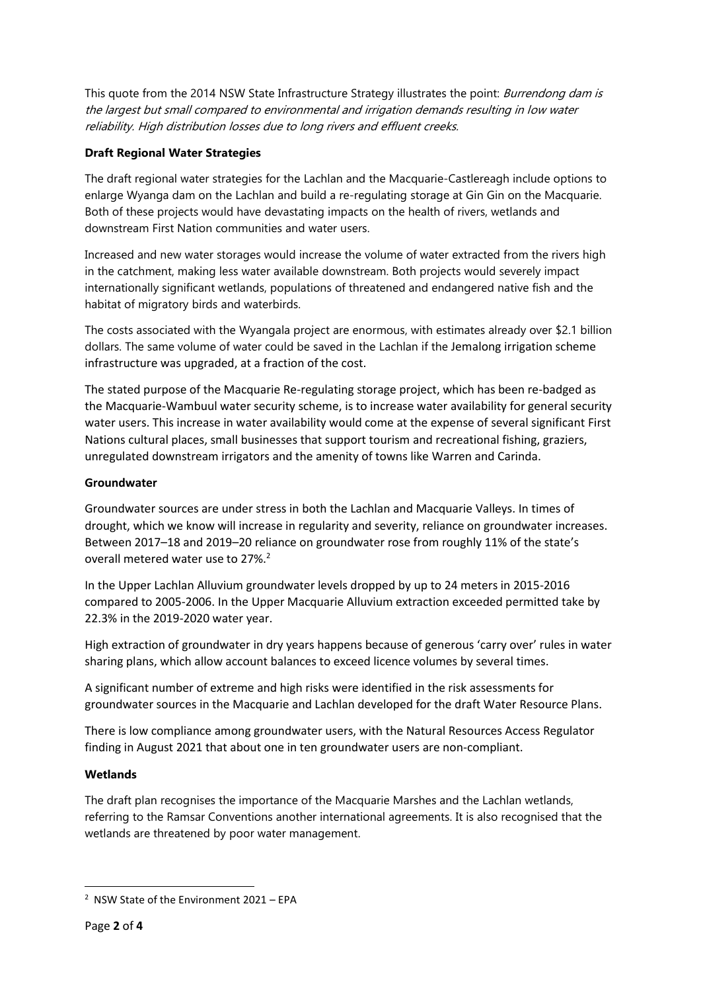This quote from the 2014 NSW State Infrastructure Strategy illustrates the point: Burrendong dam is the largest but small compared to environmental and irrigation demands resulting in low water reliability. High distribution losses due to long rivers and effluent creeks.

## **Draft Regional Water Strategies**

The draft regional water strategies for the Lachlan and the Macquarie-Castlereagh include options to enlarge Wyanga dam on the Lachlan and build a re-regulating storage at Gin Gin on the Macquarie. Both of these projects would have devastating impacts on the health of rivers, wetlands and downstream First Nation communities and water users.

Increased and new water storages would increase the volume of water extracted from the rivers high in the catchment, making less water available downstream. Both projects would severely impact internationally significant wetlands, populations of threatened and endangered native fish and the habitat of migratory birds and waterbirds.

The costs associated with the Wyangala project are enormous, with estimates already over \$2.1 billion dollars. The same volume of water could be saved in the Lachlan if the Jemalong irrigation scheme infrastructure was upgraded, at a fraction of the cost.

The stated purpose of the Macquarie Re-regulating storage project, which has been re-badged as the Macquarie-Wambuul water security scheme, is to increase water availability for general security water users. This increase in water availability would come at the expense of several significant First Nations cultural places, small businesses that support tourism and recreational fishing, graziers, unregulated downstream irrigators and the amenity of towns like Warren and Carinda.

## **Groundwater**

Groundwater sources are under stress in both the Lachlan and Macquarie Valleys. In times of drought, which we know will increase in regularity and severity, reliance on groundwater increases. Between 2017–18 and 2019–20 reliance on groundwater rose from roughly 11% of the state's overall metered water use to 27%.<sup>2</sup>

In the Upper Lachlan Alluvium groundwater levels dropped by up to 24 meters in 2015-2016 compared to 2005-2006. In the Upper Macquarie Alluvium extraction exceeded permitted take by 22.3% in the 2019-2020 water year.

High extraction of groundwater in dry years happens because of generous 'carry over' rules in water sharing plans, which allow account balances to exceed licence volumes by several times.

A significant number of extreme and high risks were identified in the risk assessments for groundwater sources in the Macquarie and Lachlan developed for the draft Water Resource Plans.

There is low compliance among groundwater users, with the Natural Resources Access Regulator finding in August 2021 that about one in ten groundwater users are non-compliant.

## **Wetlands**

The draft plan recognises the importance of the Macquarie Marshes and the Lachlan wetlands, referring to the Ramsar Conventions another international agreements. It is also recognised that the wetlands are threatened by poor water management.

**.** 

<sup>2</sup> NSW State of the Environment 2021 – EPA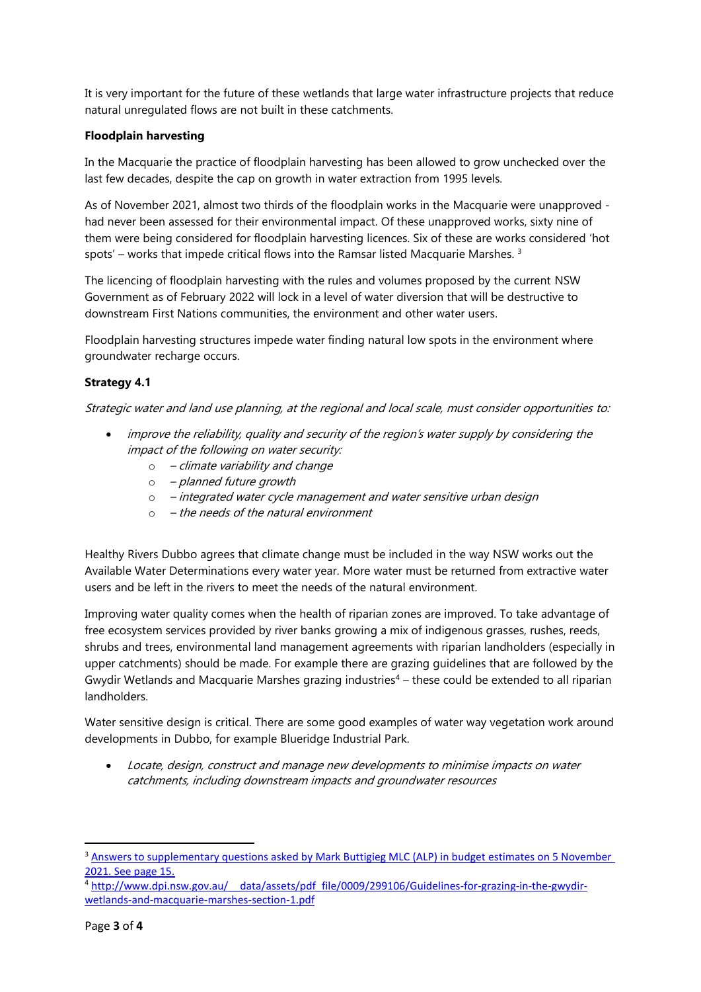It is very important for the future of these wetlands that large water infrastructure projects that reduce natural unregulated flows are not built in these catchments.

### **Floodplain harvesting**

In the Macquarie the practice of floodplain harvesting has been allowed to grow unchecked over the last few decades, despite the cap on growth in water extraction from 1995 levels.

As of November 2021, almost two thirds of the floodplain works in the Macquarie were unapproved had never been assessed for their environmental impact. Of these unapproved works, sixty nine of them were being considered for floodplain harvesting licences. Six of these are works considered 'hot spots' – works that impede critical flows into the Ramsar listed Macquarie Marshes.  $3$ 

The licencing of floodplain harvesting with the rules and volumes proposed by the current NSW Government as of February 2022 will lock in a level of water diversion that will be destructive to downstream First Nations communities, the environment and other water users.

Floodplain harvesting structures impede water finding natural low spots in the environment where groundwater recharge occurs.

# **Strategy 4.1**

Strategic water and land use planning, at the regional and local scale, must consider opportunities to:

- improve the reliability, quality and security of the region's water supply by considering the impact of the following on water security:
	- $\circ$  climate variability and change
	- o planned future growth
	- $\circ$  integrated water cycle management and water sensitive urban design
	- $\circ$  the needs of the natural environment

Healthy Rivers Dubbo agrees that climate change must be included in the way NSW works out the Available Water Determinations every water year. More water must be returned from extractive water users and be left in the rivers to meet the needs of the natural environment.

Improving water quality comes when the health of riparian zones are improved. To take advantage of free ecosystem services provided by river banks growing a mix of indigenous grasses, rushes, reeds, shrubs and trees, environmental land management agreements with riparian landholders (especially in upper catchments) should be made. For example there are grazing guidelines that are followed by the Gwydir Wetlands and Macquarie Marshes grazing industries<sup>4</sup> – these could be extended to all riparian landholders.

Water sensitive design is critical. There are some good examples of water way vegetation work around developments in Dubbo, for example Blueridge Industrial Park.

 Locate, design, construct and manage new developments to minimise impacts on water catchments, including downstream impacts and groundwater resources

**.** 

<sup>&</sup>lt;sup>3</sup> Answers to supplementary questions asked by Mark Buttigieg MLC (ALP) in budget estimates on 5 November [2021. See page 15.](https://www.parliament.nsw.gov.au/lcdocs/other/16468/Answers%20to%20Supplementary%20Questions,%20Water,%20Property%20and%20Housing%20AMENDED.pdf)

<sup>4</sup> http://www.dpi.nsw.gov.au/ data/assets/pdf file/0009/299106/Guidelines-for-grazing-in-the-gwydir[wetlands-and-macquarie-marshes-section-1.pdf](http://www.dpi.nsw.gov.au/__data/assets/pdf_file/0009/299106/Guidelines-for-grazing-in-the-gwydir-wetlands-and-macquarie-marshes-section-1.pdf)